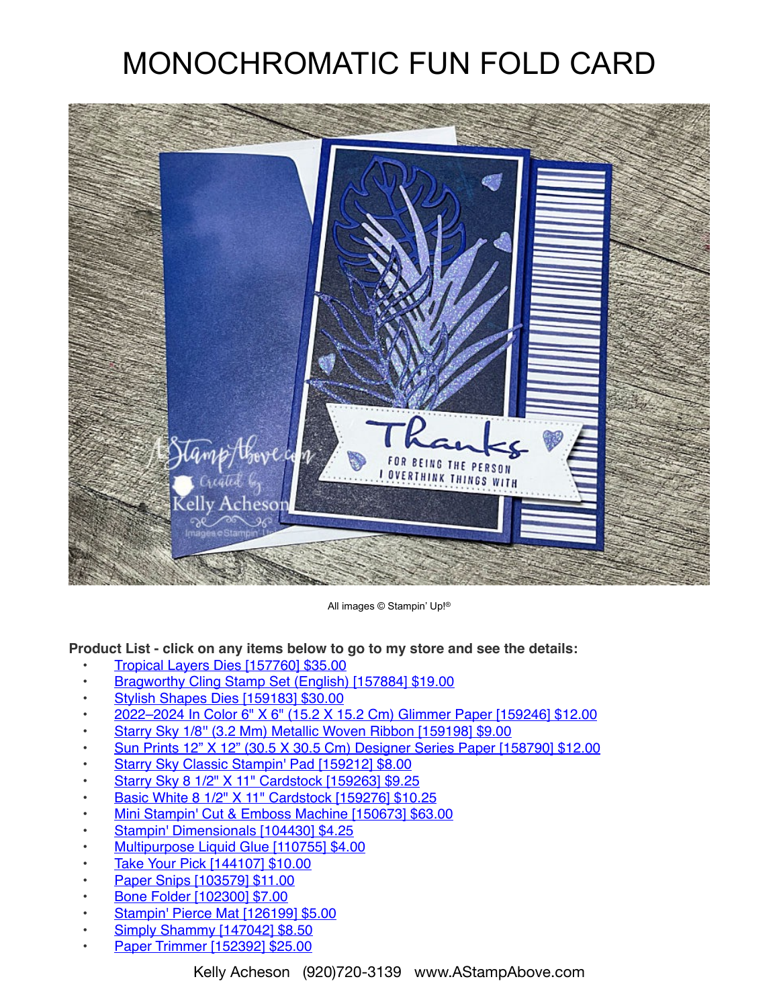## MONOCHROMATIC FUN FOLD CARD



All images © Stampin' Up!®

**Product List - click on any items below to go to my store and see the details:**

- [Tropical Layers Dies \[157760\] \\$35.00](https://www.stampinup.com/products/tropical-layers-dies?demoid=80626)
- [Bragworthy Cling Stamp Set \(English\) \[157884\] \\$19.00](https://www.stampinup.com/products/bragworthy-cling-stamp-set-english?demoid=80626)
- [Stylish Shapes Dies \[159183\] \\$30.00](https://www.stampinup.com/products/stylish-shapes-dies?demoid=80626)
- [2022–2024 In Color 6" X 6" \(15.2 X 15.2 Cm\) Glimmer Paper \[159246\] \\$12.00](https://www.stampinup.com/products/2022-2024-in-color-6-x-6-15-2-x-15-2-cm-glimmer-paper?demoid=80626)
- [Starry Sky 1/8'' \(3.2 Mm\) Metallic Woven Ribbon \[159198\] \\$9.00](https://www.stampinup.com/products/starry-sky-1-8-(3-2-mm)-metallic-woven-ribbon?demoid=80626)
- [Sun Prints 12" X 12" \(30.5 X 30.5 Cm\) Designer Series Paper \[158790\] \\$12.00](https://www.stampinup.com/products/sun-prints-12-x-12-30-5-x-30-5-cm-designer-series-paper?demoid=80626)
- [Starry Sky Classic Stampin' Pad \[159212\] \\$8.00](https://www.stampinup.com/products/starry-sky-classic-stampin-pad?demoid=80626)
- [Starry Sky 8 1/2" X 11" Cardstock \[159263\] \\$9.25](https://www.stampinup.com/products/starry-sky-8-1-2-x-11-cardstock?demoid=80626)
- [Basic White 8 1/2" X 11" Cardstock \[159276\] \\$10.25](https://www.stampinup.com/products/basic-white-8-1-2-x-11-cardstock?demoid=80626)
- [Mini Stampin' Cut & Emboss Machine \[150673\] \\$63.00](https://www.stampinup.com/products/mini-stampin-cut-emboss-machine?demoid=80626)
- [Stampin' Dimensionals \[104430\] \\$4.25](https://www.stampinup.com/products/stampin-dimensionals?demoid=80626)
- [Multipurpose Liquid Glue \[110755\] \\$4.00](https://www.stampinup.com/products/glue-liquid-multipurpose?demoid=80626)
- [Take Your Pick \[144107\] \\$10.00](https://www.stampinup.com/products/take-your-pick?demoid=80626)
- [Paper Snips \[103579\] \\$11.00](https://www.stampinup.com/products/scissors-paper-snips?demoid=80626)
- [Bone Folder \[102300\] \\$7.00](https://www.stampinup.com/products/bone-folder?demoid=80626)
- [Stampin' Pierce Mat \[126199\] \\$5.00](https://www.stampinup.com/products/stampin-pierce-mat?demoid=80626)
- [Simply Shammy \[147042\] \\$8.50](https://www.stampinup.com/products/simply-shammy?demoid=80626)
- [Paper Trimmer \[152392\] \\$25.00](https://www.stampinup.com/products/paper-trimmer?demoid=80626)